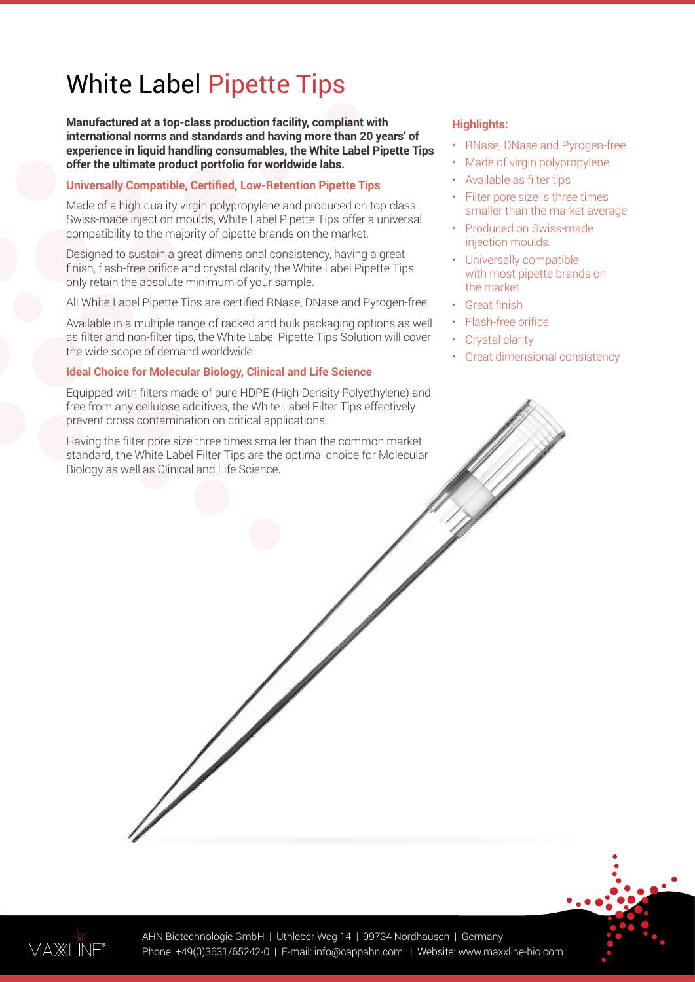# White Label Pipette Tips

**Manufactured at a top-class production facility, compliant with international norms and standards and having more than 20 years' of experience in liquid handling consumables, the White Label Pipette Tips offer the ultimate product portfolio for worldwide labs.**

#### **Universally Compatible, Certified, Low-Retention Pipette Tips**

Made of a high-quality virgin polypropylene and produced on top-class Swiss-made injection moulds, White Label Pipette Tips offer a universal compatibility to the majority of pipette brands on the market.

Designed to sustain a great dimensional consistency, having a great finish, flash-free orifice and crystal clarity, the White Label Pipette Tips only retain the absolute minimum of your sample.

All White Label Pipette Tips are certified RNase, DNase and Pyrogen-free.

Available in a multiple range of racked and bulk packaging options as well as filter and non-filter tips, the White Label Pipette Tips Solution will cover the wide scope of demand worldwide.

#### **Ideal Choice for Molecular Biology, Clinical and Life Science**

Equipped with filters made of pure HDPE (High Density Polyethylene) and free from any cellulose additives, the White Label Filter Tips effectively prevent cross contamination on critical applications.

Having the filter pore size three times smaller than the common market standard, the White Label Filter Tips are the optimal choice for Molecular Biology as well as Clinical and Life Science.

#### **Highlights:**

- RNase, DNase and Pyrogen-free
- Made of virgin polypropylene
- Available as filter tips
- Filter pore size is three times smaller than the market average
- Produced on Swiss-made injection moulds.
- Universally compatible with most pipette brands on the market
- **Great finish**
- Flash-free orifice
- Crystal clarity
- Great dimensional consistency

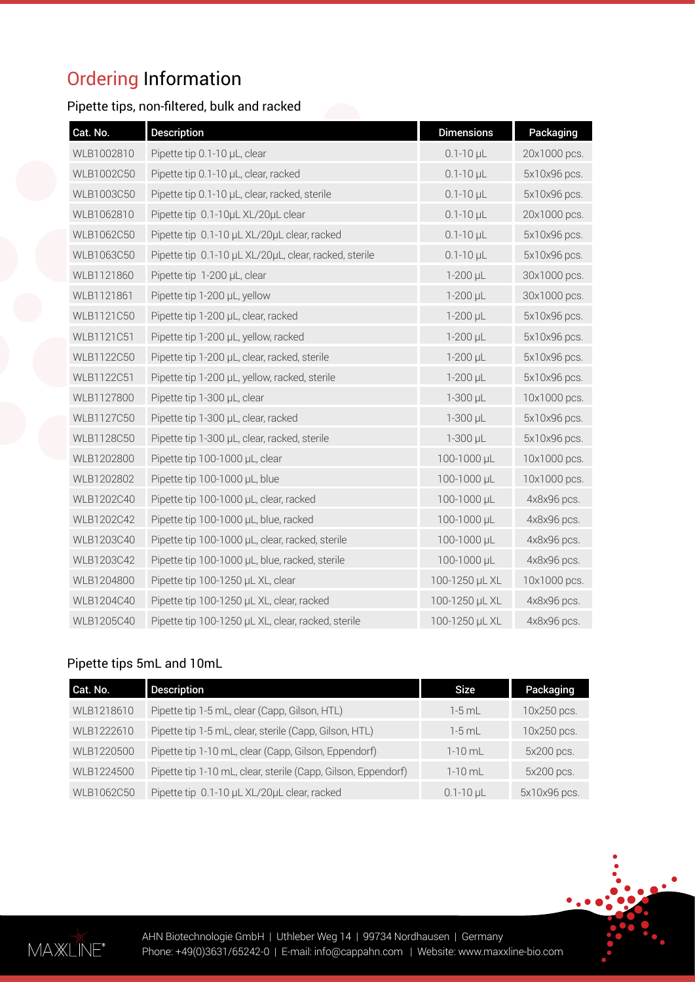# Ordering Information

# Pipette tips, non-filtered, bulk and racked

| Cat. No.   | <b>Description</b>                                    | <b>Dimensions</b>  | Packaging    |
|------------|-------------------------------------------------------|--------------------|--------------|
| WLB1002810 | Pipette tip 0.1-10 µL, clear                          | $0.1 - 10$ µL      | 20x1000 pcs. |
| WLB1002C50 | Pipette tip 0.1-10 µL, clear, racked                  | $0.1 - 10$ µL      | 5x10x96 pcs. |
| WLB1003C50 | Pipette tip 0.1-10 µL, clear, racked, sterile         | $0.1 - 10$ µL      | 5x10x96 pcs. |
| WLB1062810 | Pipette tip 0.1-10uL XL/20uL clear                    | $0.1 - 10$ $\mu$ L | 20x1000 pcs. |
| WLB1062C50 | Pipette tip 0.1-10 µL XL/20µL clear, racked           | $0.1 - 10$ $\mu$ L | 5x10x96 pcs. |
| WLB1063C50 | Pipette tip 0.1-10 µL XL/20µL, clear, racked, sterile | $0.1 - 10$ $\mu$ L | 5x10x96 pcs. |
| WLB1121860 | Pipette tip 1-200 µL, clear                           | $1-200$ $\mu$ L    | 30x1000 pcs. |
| WLB1121861 | Pipette tip 1-200 µL, yellow                          | 1-200 µL           | 30x1000 pcs. |
| WLB1121C50 | Pipette tip 1-200 µL, clear, racked                   | $1-200$ $\mu$ L    | 5x10x96 pcs. |
| WLB1121C51 | Pipette tip 1-200 µL, yellow, racked                  | $1-200$ µL         | 5x10x96 pcs. |
| WLB1122C50 | Pipette tip 1-200 µL, clear, racked, sterile          | 1-200 µL           | 5x10x96 pcs. |
| WLB1122C51 | Pipette tip 1-200 µL, yellow, racked, sterile         | $1-200$ $\mu$ L    | 5x10x96 pcs. |
| WLB1127800 | Pipette tip 1-300 µL, clear                           | 1-300 µL           | 10x1000 pcs. |
| WLB1127C50 | Pipette tip 1-300 µL, clear, racked                   | 1-300 µL           | 5x10x96 pcs. |
| WLB1128C50 | Pipette tip 1-300 µL, clear, racked, sterile          | 1-300 µL           | 5x10x96 pcs. |
| WLB1202800 | Pipette tip 100-1000 µL, clear                        | 100-1000 µL        | 10x1000 pcs. |
| WLB1202802 | Pipette tip 100-1000 µL, blue                         | 100-1000 µL        | 10x1000 pcs. |
| WLB1202C40 | Pipette tip 100-1000 µL, clear, racked                | 100-1000 µL        | 4x8x96 pcs.  |
| WLB1202C42 | Pipette tip 100-1000 µL, blue, racked                 | 100-1000 µL        | 4x8x96 pcs.  |
| WLB1203C40 | Pipette tip 100-1000 µL, clear, racked, sterile       | 100-1000 µL        | 4x8x96 pcs.  |
| WLB1203C42 | Pipette tip 100-1000 µL, blue, racked, sterile        | 100-1000 µL        | 4x8x96 pcs.  |
| WLB1204800 | Pipette tip 100-1250 µL XL, clear                     | 100-1250 µL XL     | 10x1000 pcs. |
| WLB1204C40 | Pipette tip 100-1250 µL XL, clear, racked             | 100-1250 µL XL     | 4x8x96 pcs.  |
| WLB1205C40 | Pipette tip 100-1250 µL XL, clear, racked, sterile    | 100-1250 µL XL     | 4x8x96 pcs.  |

### Pipette tips 5mL and 10mL

| Cat. No.   | <b>Description</b>                                            | Size             | Packaging    |
|------------|---------------------------------------------------------------|------------------|--------------|
| WLB1218610 | Pipette tip 1-5 mL, clear (Capp, Gilson, HTL)                 | $1-5$ mL         | 10x250 pcs.  |
| WLB1222610 | Pipette tip 1-5 mL, clear, sterile (Capp, Gilson, HTL)        | 1-5 mL           | 10x250 pcs.  |
| WLB1220500 | Pipette tip 1-10 mL, clear (Capp, Gilson, Eppendorf)          | $1-10$ mL        | 5x200 pcs.   |
| WLB1224500 | Pipette tip 1-10 mL, clear, sterile (Capp, Gilson, Eppendorf) | $1 - 10$ m       | 5x200 pcs.   |
| WLB1062C50 | Pipette tip 0.1-10 µL XL/20µL clear, racked                   | $0.1 - 10$ $\mu$ | 5x10x96 pcs. |

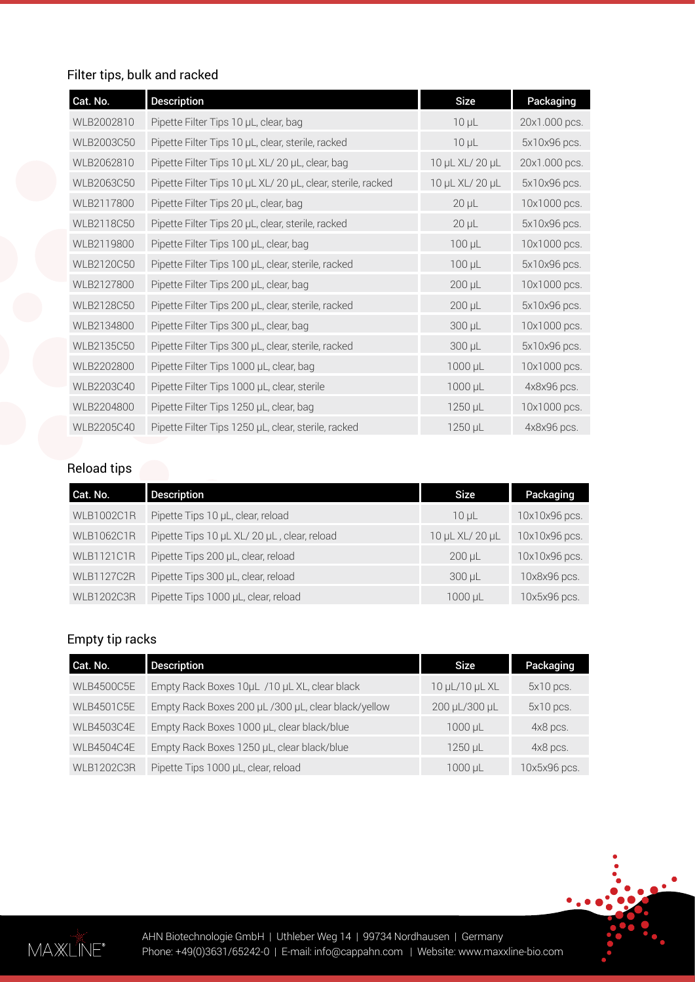# Filter tips, bulk and racked

| Cat. No.   | <b>Description</b>                                          | <b>Size</b>     | Packaging     |
|------------|-------------------------------------------------------------|-----------------|---------------|
| WLB2002810 | Pipette Filter Tips 10 µL, clear, bag                       | $10 \mu L$      | 20x1.000 pcs. |
| WLB2003C50 | Pipette Filter Tips 10 µL, clear, sterile, racked           | $10 \mu L$      | 5x10x96 pcs.  |
| WLB2062810 | Pipette Filter Tips 10 µL XL/ 20 µL, clear, bag             | 10 µL XL/ 20 µL | 20x1.000 pcs. |
| WLB2063C50 | Pipette Filter Tips 10 µL XL/ 20 µL, clear, sterile, racked | 10 µL XL/ 20 µL | 5x10x96 pcs.  |
| WLB2117800 | Pipette Filter Tips 20 µL, clear, bag                       | $20 \mu L$      | 10x1000 pcs.  |
| WLB2118C50 | Pipette Filter Tips 20 µL, clear, sterile, racked           | $20 \mu L$      | 5x10x96 pcs.  |
| WLB2119800 | Pipette Filter Tips 100 µL, clear, bag                      | $100 \mu L$     | 10x1000 pcs.  |
| WLB2120C50 | Pipette Filter Tips 100 µL, clear, sterile, racked          | $100 \mu L$     | 5x10x96 pcs.  |
| WLB2127800 | Pipette Filter Tips 200 µL, clear, bag                      | $200 \mu L$     | 10x1000 pcs.  |
| WLB2128C50 | Pipette Filter Tips 200 µL, clear, sterile, racked          | $200 \mu L$     | 5x10x96 pcs.  |
| WLB2134800 | Pipette Filter Tips 300 µL, clear, bag                      | 300 µL          | 10x1000 pcs.  |
| WLB2135C50 | Pipette Filter Tips 300 µL, clear, sterile, racked          | 300 µL          | 5x10x96 pcs.  |
| WLB2202800 | Pipette Filter Tips 1000 µL, clear, bag                     | 1000 µL         | 10x1000 pcs.  |
| WLB2203C40 | Pipette Filter Tips 1000 µL, clear, sterile                 | $1000 \mu L$    | 4x8x96 pcs.   |
| WLB2204800 | Pipette Filter Tips 1250 µL, clear, bag                     | 1250 µL         | 10x1000 pcs.  |
| WLB2205C40 | Pipette Filter Tips 1250 µL, clear, sterile, racked         | $1250 \mu L$    | 4x8x96 pcs.   |

# Reload tips

| Cat. No.          | <b>Description</b>                          | <b>Size</b>     | Packaging     |
|-------------------|---------------------------------------------|-----------------|---------------|
| <b>WLB1002C1R</b> | Pipette Tips 10 µL, clear, reload           | 10 <sub>µ</sub> | 10x10x96 pcs. |
| <b>WLB1062C1R</b> | Pipette Tips 10 µL XL/ 20 µL, clear, reload | 10 µL XL/ 20 µL | 10x10x96 pcs. |
| <b>WLB1121C1R</b> | Pipette Tips 200 µL, clear, reload          | $200 \mu L$     | 10x10x96 pcs. |
| <b>WLB1127C2R</b> | Pipette Tips 300 µL, clear, reload          | $300 \mu L$     | 10x8x96 pcs.  |
| <b>WLB1202C3R</b> | Pipette Tips 1000 µL, clear, reload         | 1000 µL         | 10x5x96 pcs.  |

# Empty tip racks

| Cat. No.          | <b>Description</b>                                  | <b>Size</b>    | Packaging    |
|-------------------|-----------------------------------------------------|----------------|--------------|
| <b>WLB4500C5E</b> | Empty Rack Boxes 10uL /10 uL XL, clear black        | 10 µL/10 µL XL | $5x10$ pcs.  |
| <b>WLB4501C5E</b> | Empty Rack Boxes 200 µL /300 µL, clear black/yellow | 200 µL/300 µL  | $5x10$ pcs.  |
| <b>WLB4503C4E</b> | Empty Rack Boxes 1000 µL, clear black/blue          | 1000 µL        | 4x8 pcs.     |
| <b>WLB4504C4E</b> | Empty Rack Boxes 1250 µL, clear black/blue          | 1250 µL        | 4x8 pcs.     |
| <b>WLB1202C3R</b> | Pipette Tips 1000 µL, clear, reload                 | 1000 µL        | 10x5x96 pcs. |